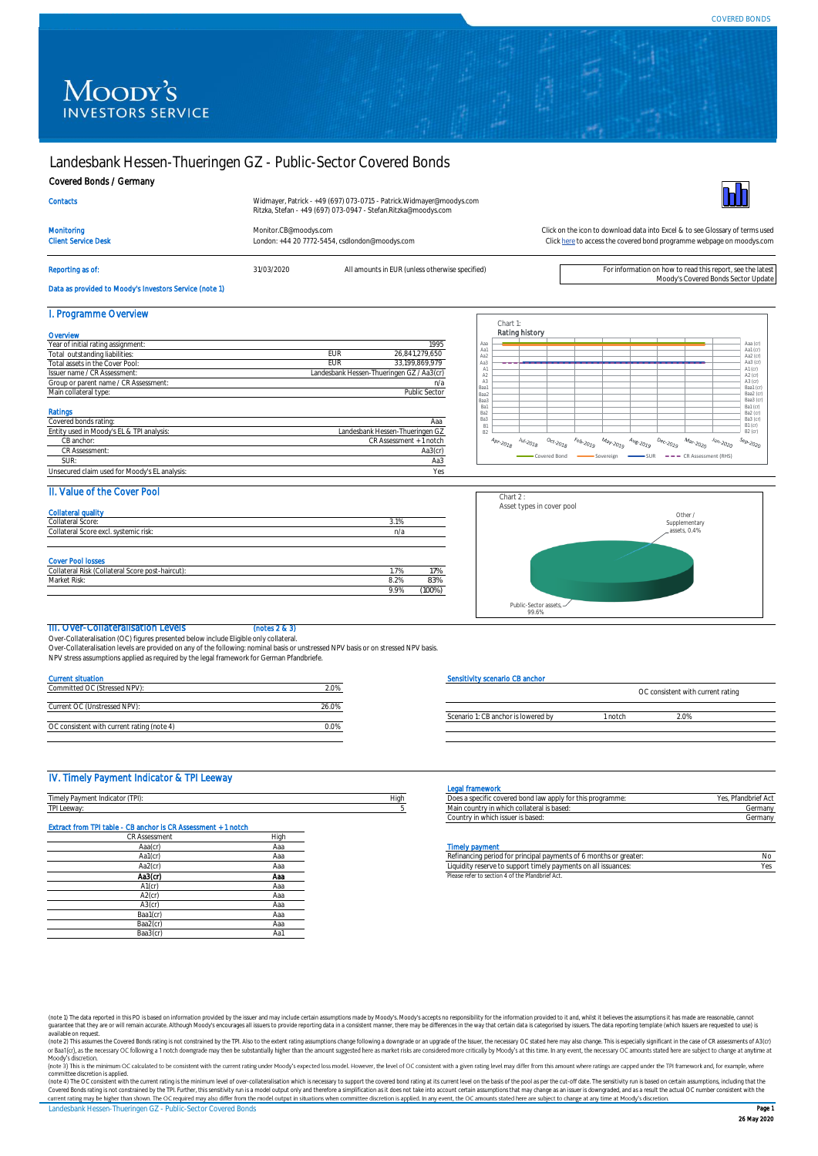# Moody's **INVESTORS SERVICE**

## Landesbank Hessen-Thueringen GZ - Public-Sector Covered Bonds

#### Covered Bonds / Germany

| <b>Contacts</b>            | Widmayer, Patrick - +49 (697) 073-0715 - Patrick.Widmayer@moodys.com<br>Ritzka, Stefan - +49 (697) 073-0947 - Stefan.Ritzka@moodys.com |                                                                               |
|----------------------------|----------------------------------------------------------------------------------------------------------------------------------------|-------------------------------------------------------------------------------|
| Monitoring                 | Monitor.CB@moodys.com                                                                                                                  | Click on the icon to download data into Excel & to see Glossary of terms used |
| <b>Client Service Desk</b> | London: +44 20 7772-5454, csdlondon@moodys.com                                                                                         | Click here to access the covered bond programme webpage on moodys.com         |

Reporting as of: **31/03/2020** All amounts in EUR (unless otherwise specified) **For information on how to read this report**, see the late



Moody's Covered Bonds Sector Update

[Click here](https://www.moodys.com/credit-ratings/Landesbank-HessenThueringen-GZ--PublicSector-Covered-Bonds-credit-rating-722434892) to access the covered bond programme webpage on moodys.com

## Data as provided to Moody's Investors Service (note 1)

| I. Programme Overview                         |               |                                           |  |
|-----------------------------------------------|---------------|-------------------------------------------|--|
| Overvlew                                      |               |                                           |  |
| Year of initial rating assignment:            |               | 1995                                      |  |
| Total outstanding liabilities:                | EUR           | 26.841.279.650                            |  |
| Total assets in the Cover Pool:               | <b>EUR</b>    | 33.199.869.979                            |  |
| Issuer name / CR Assessment:                  |               | Landesbank Hessen-Thueringen GZ / Aa3(cr) |  |
| Group or parent name / CR Assessment:         | n/a           |                                           |  |
| Main collateral type:                         | Public Sector |                                           |  |
| Ratings                                       |               |                                           |  |
| Covered bonds rating:                         |               | Aaa                                       |  |
| Entity used in Moody's EL & TPI analysis:     |               | Landesbank Hessen-Thueringen GZ           |  |
| CB anchor:                                    |               | CR Assessment + 1 notch                   |  |
| CR Assessment:                                |               | Aa3(cr)                                   |  |
| SUR:                                          |               | Aa3                                       |  |
| Unsecured claim used for Moody's EL analysis: |               | Yes                                       |  |

|                                               |                                                                                                                                                                                                   |                                                                                 |                                    |                                        |                                                                                           |                                                               |                            |                                  | Aaa (cr)                           |
|-----------------------------------------------|---------------------------------------------------------------------------------------------------------------------------------------------------------------------------------------------------|---------------------------------------------------------------------------------|------------------------------------|----------------------------------------|-------------------------------------------------------------------------------------------|---------------------------------------------------------------|----------------------------|----------------------------------|------------------------------------|
|                                               |                                                                                                                                                                                                   |                                                                                 |                                    |                                        |                                                                                           |                                                               |                            |                                  | Aa1 (cr)<br>Aa2 (cr)               |
|                                               |                                                                                                                                                                                                   |                                                                                 |                                    |                                        |                                                                                           |                                                               |                            |                                  | Aa3 (cr)<br>A1 (cr)                |
|                                               |                                                                                                                                                                                                   |                                                                                 |                                    |                                        |                                                                                           |                                                               |                            |                                  | A2 (cr)<br>A3 (cr)                 |
|                                               |                                                                                                                                                                                                   |                                                                                 |                                    |                                        |                                                                                           |                                                               |                            |                                  | Baa1 (cr)                          |
|                                               |                                                                                                                                                                                                   |                                                                                 |                                    |                                        |                                                                                           |                                                               |                            |                                  | Baa2 (cr)<br>Baa3 (cr)             |
|                                               |                                                                                                                                                                                                   |                                                                                 |                                    |                                        |                                                                                           |                                                               |                            |                                  | Ba1 (cr)<br>Ba2 (cr)               |
|                                               |                                                                                                                                                                                                   |                                                                                 |                                    |                                        |                                                                                           |                                                               |                            |                                  | Ba3 (cr)<br>$B1(\alpha)$           |
|                                               |                                                                                                                                                                                                   |                                                                                 |                                    |                                        |                                                                                           |                                                               |                            |                                  | $B2(\alpha)$                       |
| $\mathcal{A}_{Dr, \mathcal{Q}_{\tilde{J},g}}$ | $\ensuremath{\mathnormal{J_{U\hspace{-.1em}/}}\xspace_{\sim}}\xspace_{\mathnormal{\mathnormal{J_{Q\hspace{-.1em}/}}\xspace_{\mathnormal{\mathnormal{Q}}}}\mathnormal{\mathnormal{J_{Q}}}\xspace}$ | $\mathcal{O}_{C^s_{\ell},\mathcal{Z}_{\tilde{O},\tilde{\ell},\tilde{\varrho}}}$ | $\mathit{r}_{\theta b \cdot 2019}$ | $M_{\partial \gamma \sim 20\text{J}g}$ | $\mathcal{A}_{\mathcal{U}_{\mathcal{E}\text{-}\mathcal{Z}_{O_{\mathcal{I}\mathcal{G}}}}}$ | $\mathcal{D}_{\mathcal{C}\text{-}\mathcal{Z}O_{\mathbb{Z}Q}}$ | $M_{\partial r\cdot 2020}$ | $\frac{J_{U_{f1},2020}}{J_{U1}}$ | $s_{\theta\rho\cdot\varphi_{020}}$ |

## II. Value of the Cover Pool

| <b>Collateral quality</b><br>Collateral Score:                                               | 3.1% |     |
|----------------------------------------------------------------------------------------------|------|-----|
| Collateral Score excl. systemic risk:                                                        | n/a  |     |
|                                                                                              |      |     |
|                                                                                              |      |     |
|                                                                                              |      |     |
|                                                                                              | 1.7% | 17% |
| <b>Cover Pool losses</b><br>Collateral Risk (Collateral Score post-haircut):<br>Market Risk: | 8.2% | 83% |



### III. Over-Collateralisation Levels (notes 2 & 3)

Over-Collateralisation (OC) figures presented below include Eligible only collateral.

Over-Collateralisation levels are provided on any of the following: nominal basis or unstressed NPV basis or on stressed NPV basis.<br>NPV stress assumptions applied as required by the legal framework for German Pfandbriefe.

| 20%   |
|-------|
|       |
| 26.0% |
|       |
|       |
|       |

### Sensitivity scenario CB anchor

| 20% |
|-----|
|     |

## IV. Timely Payment Indicator & TPI Leeway

|                                                             |      | <b>Hallewur</b>                                                                 |                     |
|-------------------------------------------------------------|------|---------------------------------------------------------------------------------|---------------------|
| TTN1<br>-<br>.<br>$i \sim 1$<br>avmeni i<br><b>HIGICALU</b> | Hiai | a cnc<br>this brourannie.<br>eu dui i<br><b>LA JVULI</b><br>ו וש וטער טועו<br>. |                     |
| <b>STATISTICS</b><br>00112<br>I LUCVYCIY                    |      | تطبعنا<br>llatoral<br>L VVI IIV.<br>5.101353                                    | Corporate<br>əerman |

| Extract from TPI table - CB anchor Is CR Assessment + 1 notch |      |
|---------------------------------------------------------------|------|
| <b>CR Assessment</b>                                          | High |
| Aaa(cr)                                                       | Aaa  |
| Aa1(cr)                                                       | Aaa  |
| Aa2(cr)                                                       | Aaa  |
| Aa3(cr)                                                       | Aaa  |
| $A1$ (cr)                                                     | Aaa  |
| $A2$ (cr)                                                     | Aaa  |
| $A3$ (cr)                                                     | Aaa  |
| Baa1(cr)                                                      | Aaa  |
| Baa2(cr)                                                      | Aaa  |
| Baa3(cr)                                                      | Aa1  |

## Legal framework

| <b>EAST LIMITIATION</b>                                    |                     |
|------------------------------------------------------------|---------------------|
| Does a specific covered bond law apply for this programme: | Yes. Pfandbrief Act |
| Main country in which collateral is based:                 | Germany             |
| Country in which issuer is based:                          | Germany             |

#### **Timely paym**

| Aa1(cr<br>Aa2(cr | Ada<br>Hau | d for principal payments of 6 months or greater:<br>o support timely payments.<br>---<br>l issuances<br>dit v reserve<br>nis on al | N |
|------------------|------------|------------------------------------------------------------------------------------------------------------------------------------|---|
| Aa3(cr)          | Ааа        | er to section 4 of the Pfandbrief Act.<br>Vlease refer                                                                             |   |

(note 1) The data reported in this PO is based on information provided by the issuer and may include certain assumptions made by Moody's Moody's accepts no responsibility for the information provided io tand, whilst it bel

committee discretion is applied.<br>(note 4) The OC consistent with the current rating is the minimum level of over-collateralisation which is necessary to support the covered bond rating at its current level on the basis of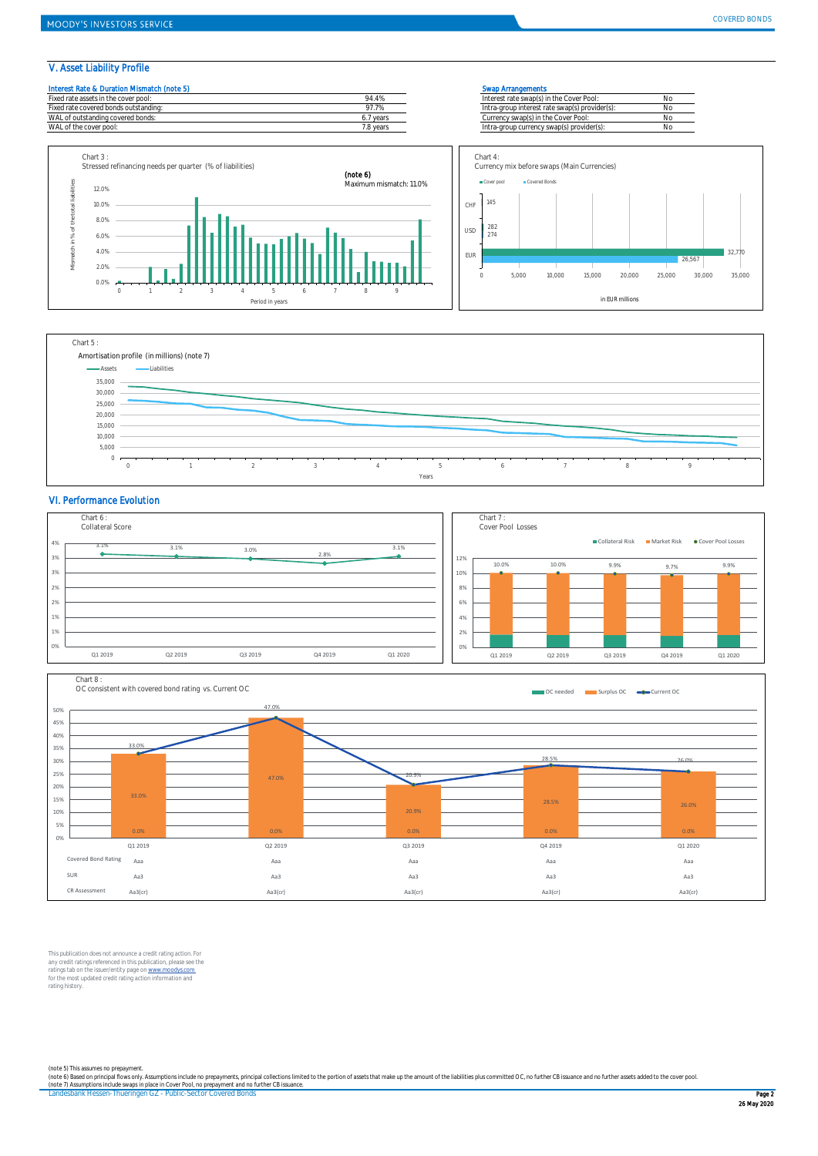## V. Asset Liability Profile





### VI. Performance Evolution





This publication does not announce a credit rating action. For any credit ratings referenced in this publication, please see the<br>ratings tab on the issuer/entity page on <u>www.moodys.com</u><br>for the most updated credit rating action information and<br>rating history.

(note 5) This assumes no prepayment.<br>(note 6) Based on principal flows only. Assumptions include no prepayments, principal collections limited to the portion of assets that make up the amount of the liabilities plus commit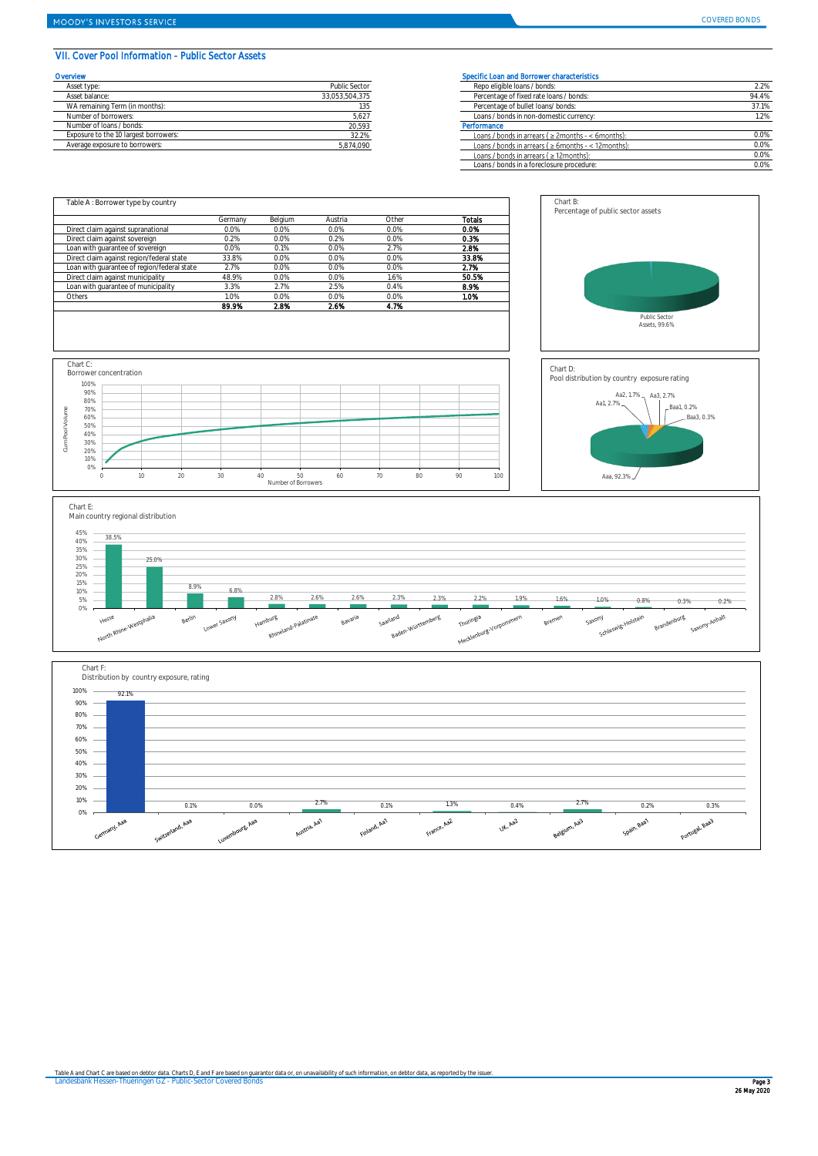## VII. Cover Pool Information - Public Sector Assets

| Overvlew                              |                | Specific Loan and Borrower characteristics       |
|---------------------------------------|----------------|--------------------------------------------------|
| Asset type:                           | Public Sector  | Repo eligible loans / bonds:                     |
| Asset balance:                        | 33.053.504.375 | Percentage of fixed rate loans / bonds:          |
| WA remaining Term (in months):        | 135            | Percentage of bullet loans/bonds:                |
| Number of borrowers:                  | 5,627          | Loans / bonds in non-domestic currency:          |
| Number of loans / bonds:              | 20,593         | Performance                                      |
| Exposure to the 10 largest borrowers: | 32.2%          | Loans / bonds in arrears ( $\geq$ 2months - < 6  |
| Average exposure to borrowers:        | 5.874.090      | Loans / bonds in arrears ( $\geq 6$ months - < 1 |

| <b>Prvlew</b>                         |                | Specific Loan and Borrower characteristics                 |       |
|---------------------------------------|----------------|------------------------------------------------------------|-------|
| Asset type:                           | Public Sector  | Repo eligible loans / bonds:                               | 2.2%  |
| Asset balance:                        | 33,053,504,375 | Percentage of fixed rate loans / bonds:                    | 94.4% |
| WA remaining Term (in months):        |                | Percentage of bullet loans/ bonds:                         | 37.1% |
| Number of borrowers:                  | 5.627          | Loans / bonds in non-domestic currency:                    | 1.2%  |
| Number of loans / bonds:              | 20,593         | Performance                                                |       |
| Exposure to the 10 largest borrowers: | 32.2%          | Loans / bonds in arrears ( $\geq$ 2months - < 6months):    | 0.0%  |
| Average exposure to borrowers:        | 5,874,090      | Loans / bonds in arrears ( $\geq 6$ months - < 12 months): | 0.0%  |
|                                       |                | Loans / bonds in arrears ( $\geq$ 12 months):              | 0.0%  |
|                                       |                | Loans / bonds in a foreclosure procedure:                  | 0.0%  |



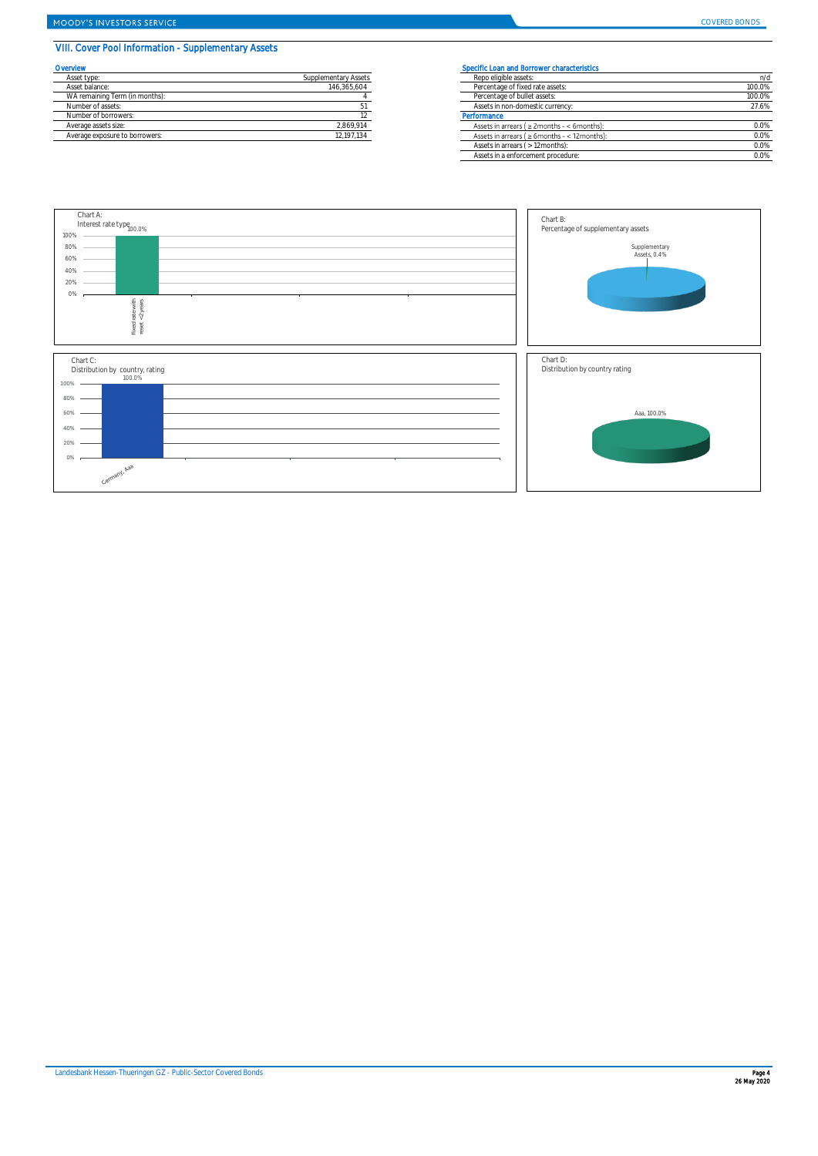## VIII. Cover Pool Information - Supplementary Assets

| Overvlew                       |                      | <b>Specific Loar</b> |
|--------------------------------|----------------------|----------------------|
| Asset type:                    | Supplementary Assets | Repo eligi           |
| Asset balance:                 | 146.365.604          | Percentad            |
| WA remaining Term (in months): |                      | Percentad            |
| Number of assets:              |                      | Assets in            |
| Number of borrowers:           |                      | Performance          |
| Average assets size:           | 2.869.914            | Assets in            |
| Average exposure to borrowers: | 12.197.134           | Assets in            |
|                                |                      |                      |

## **COVERTS Specific Loan and Borrower characteristics**

| Asset type:                    | Supplementary Assets | Repo eligible assets:                               | n/d     |  |
|--------------------------------|----------------------|-----------------------------------------------------|---------|--|
| Asset balance:                 | 146.365.604          | Percentage of fixed rate assets:                    | 100.0%  |  |
| WA remaining Term (in months): |                      | Percentage of bullet assets:                        | 100.0%  |  |
| Number of assets:              |                      | Assets in non-domestic currency:                    | 27.6%   |  |
| Number of borrowers:           |                      | Performance                                         |         |  |
| Average assets size:           | 2,869,914            | Assets in arrears ( $\geq$ 2months - < 6months):    | $0.0\%$ |  |
| Average exposure to borrowers: | 12,197,134           | Assets in arrears ( $\geq 6$ months - < 12 months): | 0.0%    |  |
|                                |                      | Assets in arrears ( > 12 months):                   | 0.0%    |  |
|                                |                      | Assets in a enforcement procedure:                  | $0.0\%$ |  |

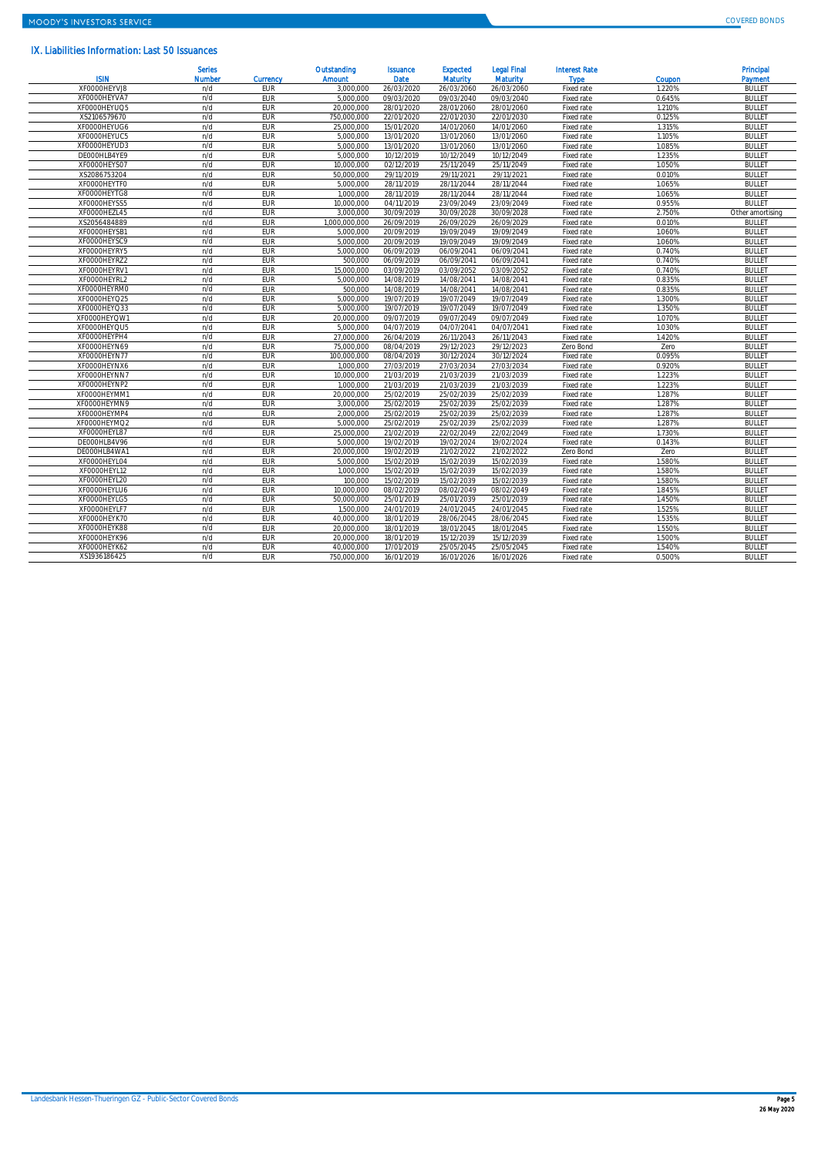## IX. Liabilities Information: Last 50 Issuances

| <b>ISIN</b>  | <b>Serles</b><br><b>Number</b> | Currency   | Outstanding<br><b>Amount</b> | <b>Issuance</b><br><b>Date</b> | <b>Expected</b><br><b>Maturity</b> | <b>Legal Final</b><br><b>Maturity</b> | <b>Interest Rate</b><br><b>Type</b> | Coupon | Principal<br>Payment |
|--------------|--------------------------------|------------|------------------------------|--------------------------------|------------------------------------|---------------------------------------|-------------------------------------|--------|----------------------|
| XF0000HEYVJ8 | n/d                            | <b>EUR</b> | 3.000.000                    | 26/03/2020                     | 26/03/2060                         | 26/03/2060                            | Fixed rate                          | 1.220% | <b>BULLET</b>        |
| XF0000HEYVA7 | n/d                            | <b>EUR</b> | 5,000,000                    | 09/03/2020                     | 09/03/2040                         | 09/03/2040                            | Fixed rate                          | 0.645% | <b>BULLET</b>        |
| XF0000HEYUQ5 | n/d                            | EUR        | 20.000.000                   | 28/01/2020                     | 28/01/2060                         | 28/01/2060                            | Fixed rate                          | 1.210% | <b>BULLET</b>        |
| XS2106579670 | n/d                            | <b>EUR</b> | 750.000.000                  | 22/01/2020                     | 22/01/2030                         | 22/01/2030                            | Fixed rate                          | 0.125% | <b>BULLET</b>        |
| XF0000HEYUG6 | n/d                            | <b>EUR</b> | 25,000,000                   | 15/01/2020                     | 14/01/2060                         | 14/01/2060                            | Fixed rate                          | 1.315% | <b>BULLET</b>        |
| XF0000HEYUC5 | n/d                            | <b>EUR</b> | 5.000.000                    | 13/01/2020                     | 13/01/2060                         | 13/01/2060                            | Fixed rate                          | 1.105% | <b>BULLET</b>        |
| XF0000HEYUD3 | n/d                            | <b>EUR</b> | 5.000.000                    | 13/01/2020                     | 13/01/2060                         | 13/01/2060                            | Fixed rate                          | 1.085% | <b>BULLET</b>        |
| DE000HLB4YE9 | n/d                            | <b>FUR</b> | 5.000.000                    | 10/12/2019                     | 10/12/2049                         | 10/12/2049                            | Fixed rate                          | 1.235% | <b>BULLET</b>        |
| XF0000HEYS07 | n/d                            | <b>EUR</b> | 10.000.000                   | 02/12/2019                     | 25/11/2049                         | 25/11/2049                            | Fixed rate                          | 1.050% | <b>BULLET</b>        |
| XS2086753204 | n/d                            | <b>EUR</b> | 50.000.000                   | 29/11/2019                     | 29/11/2021                         | 29/11/2021                            | Fixed rate                          | 0.010% | <b>BULLET</b>        |
| XF0000HEYTF0 | n/d                            | EUR        | 5.000.000                    | 28/11/2019                     | 28/11/2044                         | 28/11/2044                            | Fixed rate                          | 1.065% | <b>BULLET</b>        |
| XF0000HEYTG8 | n/d                            | <b>EUR</b> | 1.000.000                    | 28/11/2019                     | 28/11/2044                         | 28/11/2044                            | Fixed rate                          | 1.065% | <b>BULLET</b>        |
| XF0000HEYSS5 | n/d                            | <b>FUR</b> | 10.000.000                   | 04/11/2019                     | 23/09/2049                         | 23/09/2049                            | Fixed rate                          | 0.955% | <b>BULLET</b>        |
| XF0000HEZL45 | n/d                            | <b>EUR</b> | 3,000,000                    | 30/09/2019                     | 30/09/2028                         | 30/09/2028                            | Fixed rate                          | 2.750% | Other amortising     |
| XS2056484889 | n/d                            | EUR        | 1,000,000,000                | 26/09/2019                     | 26/09/2029                         | 26/09/2029                            | Fixed rate                          | 0.010% | <b>BULLET</b>        |
| XF0000HEYSB1 | n/d                            | <b>EUR</b> | 5,000,000                    | 20/09/2019                     | 19/09/2049                         | 19/09/2049                            | Fixed rate                          | 1.060% | <b>BULLET</b>        |
| XF0000HEYSC9 | n/d                            | <b>EUR</b> | 5.000.000                    | 20/09/2019                     | 19/09/2049                         | 19/09/2049                            | Fixed rate                          | 1.060% | <b>BULLET</b>        |
| XF0000HEYRY5 | n/d                            | EUR        | 5.000.000                    | 06/09/2019                     | 06/09/2041                         | 06/09/2041                            | Fixed rate                          | 0.740% | <b>BULLET</b>        |
| XF0000HEYRZ2 | n/d                            | <b>EUR</b> | 500.000                      | 06/09/2019                     | 06/09/2041                         | 06/09/2041                            | Fixed rate                          | 0.740% | <b>BULLET</b>        |
| XF0000HEYRV1 | n/d                            | <b>FUR</b> | 15.000.000                   | 03/09/2019                     | 03/09/2052                         | 03/09/2052                            | Fixed rate                          | 0.740% | <b>BULLET</b>        |
| XF0000HEYRL2 | n/d                            | <b>EUR</b> | 5.000.000                    | 14/08/2019                     | 14/08/2041                         | 14/08/2041                            | Fixed rate                          | 0.835% | <b>BULLET</b>        |
| XF0000HEYRM0 | n/d                            | <b>EUR</b> | 500.000                      | 14/08/2019                     | 14/08/2041                         | 14/08/2041                            | Fixed rate                          | 0.835% | <b>BULLET</b>        |
| XF0000HEYQ25 | n/d                            | <b>EUR</b> | 5.000.000                    | 19/07/2019                     | 19/07/2049                         | 19/07/2049                            | Fixed rate                          | 1.300% | <b>BULLET</b>        |
| XF0000HEYQ33 | n/d                            | <b>EUR</b> | 5.000.000                    | 19/07/2019                     | 19/07/2049                         | 19/07/2049                            | Fixed rate                          | 1.350% | <b>BULLET</b>        |
| XF0000HEYOW1 | n/d                            | <b>FUR</b> | 20.000.000                   | 09/07/2019                     | 09/07/2049                         | 09/07/2049                            | Fixed rate                          | 1.070% | <b>BULLET</b>        |
| XF0000HEYOU5 | n/d                            | <b>EUR</b> | 5.000.000                    | 04/07/2019                     | 04/07/2041                         | 04/07/2041                            | Fixed rate                          | 1.030% | <b>BULLET</b>        |
| XF0000HEYPH4 | n/d                            | <b>EUR</b> | 27.000.000                   | 26/04/2019                     | 26/11/2043                         | 26/11/2043                            | Fixed rate                          | 1.420% | <b>BULLET</b>        |
| XF0000HEYN69 | n/d                            | <b>EUR</b> | 75.000.000                   | 08/04/2019                     | 29/12/2023                         | 29/12/2023                            | Zero Bond                           | Zero   | <b>BULLET</b>        |
| XF0000HEYN77 | n/d                            | <b>EUR</b> | 100.000.000                  | 08/04/2019                     | 30/12/2024                         | 30/12/2024                            | Fixed rate                          | 0.095% | <b>BULLET</b>        |
| XF0000HEYNX6 | n/d                            | <b>EUR</b> | 1.000.000                    | 27/03/2019                     | 27/03/2034                         | 27/03/2034                            | Fixed rate                          | 0.920% | <b>BULLET</b>        |
| XF0000HEYNN7 | n/d                            | <b>EUR</b> | 10.000.000                   | 21/03/2019                     | 21/03/2039                         | 21/03/2039                            | Fixed rate                          | 1.223% | <b>BULLET</b>        |
| XF0000HEYNP2 | n/d                            | EUR        | 1.000.000                    | 21/03/2019                     | 21/03/2039                         | 21/03/2039                            | Fixed rate                          | 1.223% | <b>BULLET</b>        |
| XF0000HEYMM1 | n/d                            | <b>EUR</b> | 20.000.000                   | 25/02/2019                     | 25/02/2039                         | 25/02/2039                            | Fixed rate                          | 1.287% | <b>BULLET</b>        |
| XF0000HEYMN9 | n/d                            | <b>EUR</b> | 3.000.000                    | 25/02/2019                     | 25/02/2039                         | 25/02/2039                            | Fixed rate                          | 1.287% | <b>BULLET</b>        |
| XF0000HEYMP4 | n/d                            | <b>EUR</b> | 2.000.000                    | 25/02/2019                     | 25/02/2039                         | 25/02/2039                            | Fixed rate                          | 1.287% | <b>BULLET</b>        |
| XF0000HEYMQ2 | n/d                            | <b>EUR</b> | 5.000.000                    | 25/02/2019                     | 25/02/2039                         | 25/02/2039                            | Fixed rate                          | 1.287% | <b>BULLET</b>        |
| XF0000HEYL87 | n/d                            | <b>EUR</b> | 25.000.000                   | 21/02/2019                     | 22/02/2049                         | 22/02/2049                            | Fixed rate                          | 1.730% | <b>BULLET</b>        |
| DE000HLB4V96 | n/d                            | <b>FUR</b> | 5.000.000                    | 19/02/2019                     | 19/02/2024                         | 19/02/2024                            | Fixed rate                          | 0.143% | <b>BULLET</b>        |
| DE000HLB4WA1 | n/d                            | EUR        | 20.000.000                   | 19/02/2019                     | 21/02/2022                         | 21/02/2022                            | Zero Bond                           | Zero   | <b>BULLET</b>        |
| XF0000HEYL04 | n/d                            | <b>EUR</b> | 5.000.000                    | 15/02/2019                     | 15/02/2039                         | 15/02/2039                            | Fixed rate                          | 1.580% | <b>BULLET</b>        |
| XF0000HEYL12 | n/d                            | EUR        | 1.000.000                    | 15/02/2019                     | 15/02/2039                         | 15/02/2039                            | Fixed rate                          | 1.580% | <b>BULLET</b>        |
| XF0000HEYL20 | n/d                            | EUR        | 100.000                      | 15/02/2019                     | 15/02/2039                         | 15/02/2039                            | Fixed rate                          | 1.580% | <b>BULLET</b>        |
| XF0000HEYLU6 | n/d                            | EUR        | 10.000.000                   | 08/02/2019                     | 08/02/2049                         | 08/02/2049                            | Fixed rate                          | 1.845% | <b>BULLET</b>        |
| XF0000HEYLG5 | n/d                            | <b>EUR</b> | 50,000,000                   | 25/01/2019                     | 25/01/2039                         | 25/01/2039                            | Fixed rate                          | 1.450% | <b>BULLET</b>        |
| XF0000HEYLF7 | n/d                            | <b>EUR</b> | 1.500.000                    | 24/01/2019                     | 24/01/2045                         | 24/01/2045                            | Fixed rate                          | 1.525% | <b>BULLET</b>        |
| XF0000HEYK70 | n/d                            | EUR        | 40,000,000                   | 18/01/2019                     | 28/06/2045                         | 28/06/2045                            | Fixed rate                          | 1.535% | <b>BULLET</b>        |
| XFOOOOHEYK88 | n/d                            | <b>EUR</b> | 20.000.000                   | 18/01/2019                     | 18/01/2045                         | 18/01/2045                            | Fixed rate                          | 1.550% | <b>BULLET</b>        |
| XF0000HEYK96 | n/d                            | EUR        | 20.000.000                   | 18/01/2019                     | 15/12/2039                         | 15/12/2039                            | Fixed rate                          | 1.500% | <b>BULLET</b>        |
| XFOOOOHEYK62 | n/d                            | <b>FUR</b> | 40.000.000                   | 17/01/2019                     | 25/05/2045                         | 25/05/2045                            | Fixed rate                          | 1.540% | <b>BULLET</b>        |
| XS1936186425 | n/d                            | <b>EUR</b> | 750,000,000                  | 16/01/2019                     | 16/01/2026                         | 16/01/2026                            | Fixed rate                          | 0.500% | <b>BULLET</b>        |